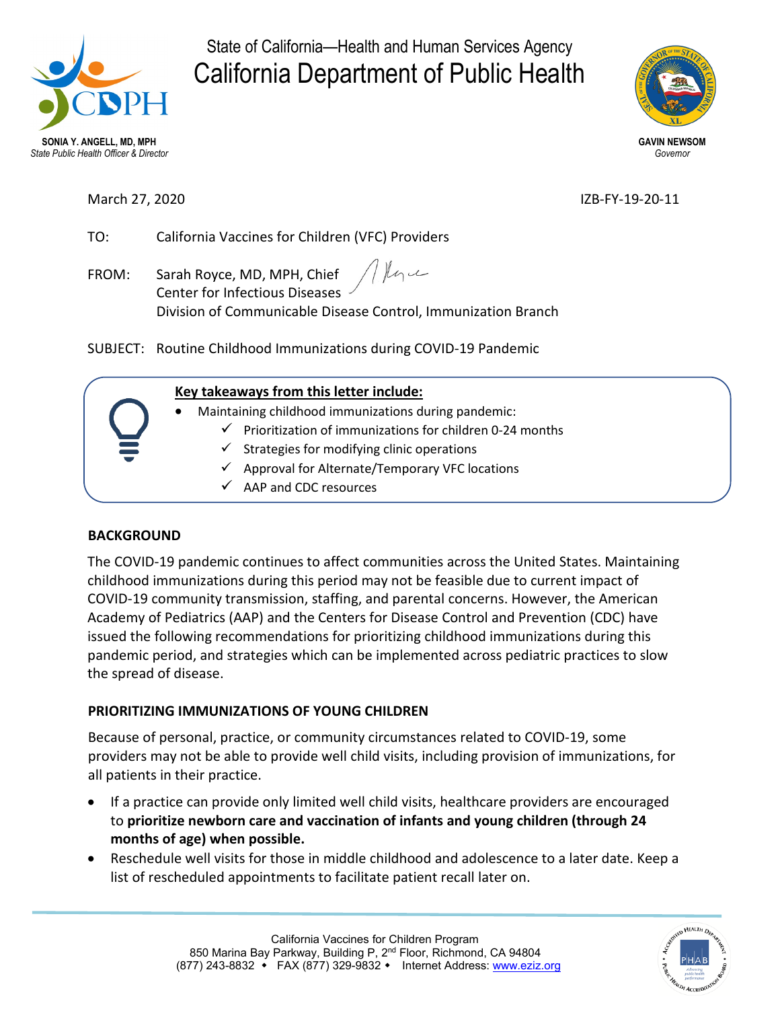

State of California—Health and Human Services Agency California Department of Public Health



March 27, 2020 **IZB-FY-19-20-11** 

TO: California Vaccines for Children (VFC) Providers

Thoma FROM: Sarah Royce, MD, MPH, Chief Center for Infectious Diseases Division of Communicable Disease Control, Immunization Branch

SUBJECT: Routine Childhood Immunizations during COVID-19 Pandemic

# **Key takeaways from this letter include:**

- Maintaining childhood immunizations during pandemic:
	- $\checkmark$  Prioritization of immunizations for children 0-24 months
	- $\checkmark$  Strategies for modifying clinic operations
	- $\checkmark$  Approval for Alternate/Temporary VFC locations
	- $\checkmark$  AAP and CDC resources

# **BACKGROUND**

The COVID-19 pandemic continues to affect communities across the United States. Maintaining childhood immunizations during this period may not be feasible due to current impact of COVID-19 community transmission, staffing, and parental concerns. However, the American Academy of Pediatrics (AAP) and the Centers for Disease Control and Prevention (CDC) have issued the following recommendations for prioritizing childhood immunizations during this pandemic period, and strategies which can be implemented across pediatric practices to slow the spread of disease.

# **PRIORITIZING IMMUNIZATIONS OF YOUNG CHILDREN**

Because of personal, practice, or community circumstances related to COVID-19, some providers may not be able to provide well child visits, including provision of immunizations, for all patients in their practice.

- If a practice can provide only limited well child visits, healthcare providers are encouraged to **prioritize newborn care and vaccination of infants and young children (through 24 months of age) when possible.**
- Reschedule well visits for those in middle childhood and adolescence to a later date. Keep a list of rescheduled appointments to facilitate patient recall later on.